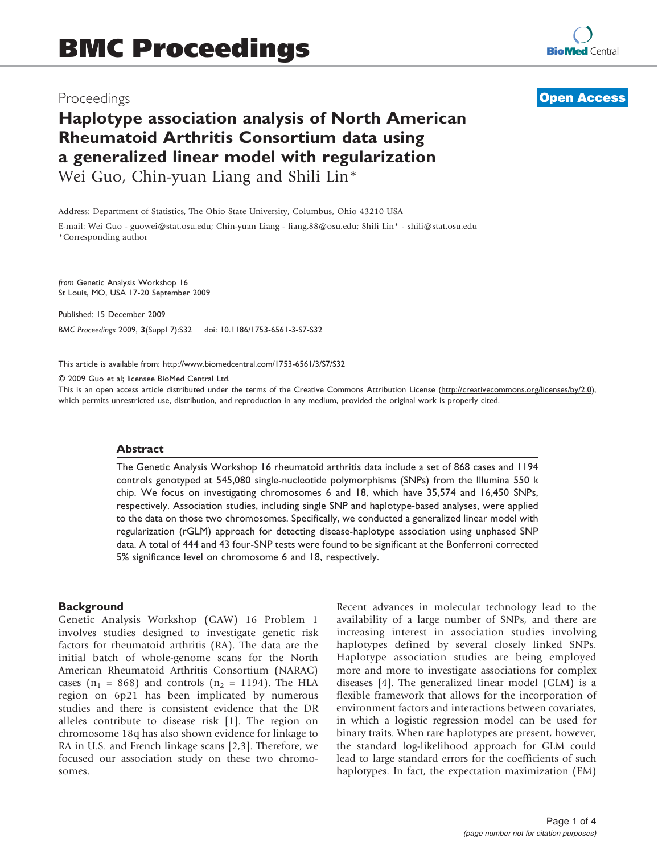# Proceedings

# **[Open Access](http://www.biomedcentral.com/info/about/charter/)**

# Haplotype association analysis of North American Rheumatoid Arthritis Consortium data using a generalized linear model with regularization Wei Guo, Chin-yuan Liang and Shili Lin\*

Address: Department of Statistics, The Ohio State University, Columbus, Ohio 43210 USA

E-mail: Wei Guo - [guowei@stat.osu.edu;](mailto:guowei@stat.osu.edu) Chin-yuan Liang - [liang.88@osu.edu;](mailto:liang.88@osu.edu) Shili Lin\* - [shili@stat.osu.edu](mailto:shili@stat.osu.edu) \*Corresponding author

from Genetic Analysis Workshop 16 St Louis, MO, USA 17-20 September 2009

Published: 15 December 2009 BMC Proceedings 2009, 3(Suppl 7):S32 doi: 10.1186/1753-6561-3-S7-S32

This article is available from: http://www.biomedcentral.com/1753-6561/3/S7/S32

© 2009 Guo et al; licensee BioMed Central Ltd.

This is an open access article distributed under the terms of the Creative Commons Attribution License [\(http://creativecommons.org/licenses/by/2.0\)](http://creativecommons.org/licenses/by/2.0), which permits unrestricted use, distribution, and reproduction in any medium, provided the original work is properly cited.

#### Abstract

The Genetic Analysis Workshop 16 rheumatoid arthritis data include a set of 868 cases and 1194 controls genotyped at 545,080 single-nucleotide polymorphisms (SNPs) from the Illumina 550 k chip. We focus on investigating chromosomes 6 and 18, which have 35,574 and 16,450 SNPs, respectively. Association studies, including single SNP and haplotype-based analyses, were applied to the data on those two chromosomes. Specifically, we conducted a generalized linear model with regularization (rGLM) approach for detecting disease-haplotype association using unphased SNP data. A total of 444 and 43 four-SNP tests were found to be significant at the Bonferroni corrected 5% significance level on chromosome 6 and 18, respectively.

### **Background**

Genetic Analysis Workshop (GAW) 16 Problem 1 involves studies designed to investigate genetic risk factors for rheumatoid arthritis (RA). The data are the initial batch of whole-genome scans for the North American Rheumatoid Arthritis Consortium (NARAC) cases ( $n_1$  = 868) and controls ( $n_2$  = 1194). The HLA region on 6p21 has been implicated by numerous studies and there is consistent evidence that the DR alleles contribute to disease risk [[1](#page-3-0)]. The region on chromosome 18q has also shown evidence for linkage to RA in U.S. and French linkage scans [[2,3\]](#page-3-0). Therefore, we focused our association study on these two chromosomes.

Recent advances in molecular technology lead to the availability of a large number of SNPs, and there are increasing interest in association studies involving haplotypes defined by several closely linked SNPs. Haplotype association studies are being employed more and more to investigate associations for complex diseases [[4](#page-3-0)]. The generalized linear model (GLM) is a flexible framework that allows for the incorporation of environment factors and interactions between covariates, in which a logistic regression model can be used for binary traits. When rare haplotypes are present, however, the standard log-likelihood approach for GLM could lead to large standard errors for the coefficients of such haplotypes. In fact, the expectation maximization (EM)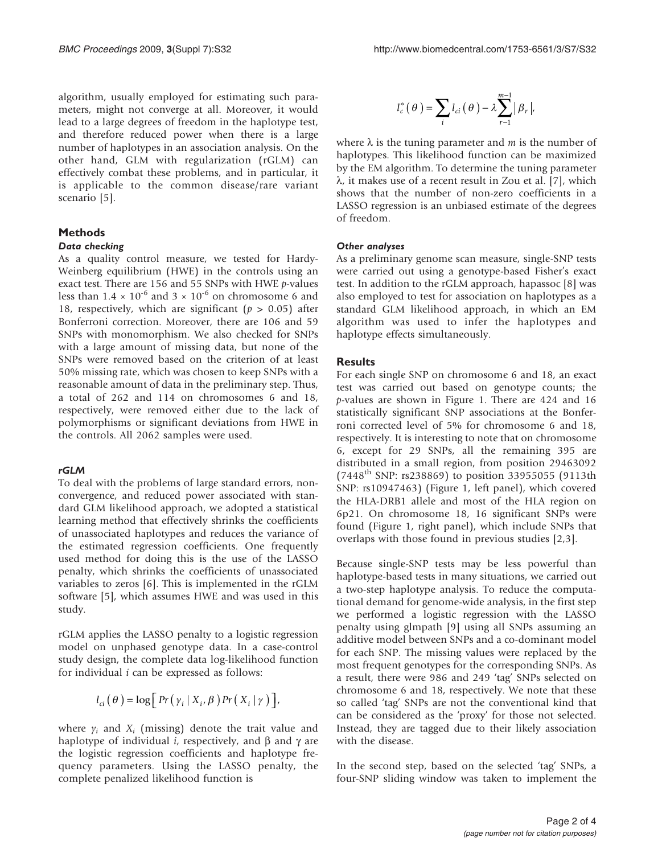algorithm, usually employed for estimating such parameters, might not converge at all. Moreover, it would lead to a large degrees of freedom in the haplotype test, and therefore reduced power when there is a large number of haplotypes in an association analysis. On the other hand, GLM with regularization (rGLM) can effectively combat these problems, and in particular, it is applicable to the common disease/rare variant scenario [[5](#page-3-0)].

# Methods

As a quality control measure, we tested for Hardy-Weinberg equilibrium (HWE) in the controls using an exact test. There are 156 and 55 SNPs with HWE p-values less than  $1.4 \times 10^{-6}$  and  $3 \times 10^{-6}$  on chromosome 6 and 18, respectively, which are significant ( $p > 0.05$ ) after Bonferroni correction. Moreover, there are 106 and 59 SNPs with monomorphism. We also checked for SNPs with a large amount of missing data, but none of the SNPs were removed based on the criterion of at least 50% missing rate, which was chosen to keep SNPs with a reasonable amount of data in the preliminary step. Thus, a total of 262 and 114 on chromosomes 6 and 18, respectively, were removed either due to the lack of polymorphisms or significant deviations from HWE in the controls. All 2062 samples were used.

refined in the problems of large standard errors, nonconvergence, and reduced power associated with standard GLM likelihood approach, we adopted a statistical learning method that effectively shrinks the coefficients of unassociated haplotypes and reduces the variance of the estimated regression coefficients. One frequently used method for doing this is the use of the LASSO penalty, which shrinks the coefficients of unassociated variables to zeros [[6](#page-3-0)]. This is implemented in the rGLM software [[5](#page-3-0)], which assumes HWE and was used in this study.

rGLM applies the LASSO penalty to a logistic regression model on unphased genotype data. In a case-control study design, the complete data log-likelihood function for individual  $i$  can be expressed as follows:

$$
l_{ci}(\theta) = \log [Pr(\gamma_i | X_i, \beta) Pr(X_i | \gamma)]
$$

where  $y_i$  and  $X_i$  (missing) denote the trait value and haplotype of individual *i*, respectively, and  $\beta$  and  $\gamma$  are the logistic regression coefficients and haplotype frequency parameters. Using the LASSO penalty, the complete penalized likelihood function is

$$
l_c^*(\theta) = \sum_i l_{ci}(\theta) - \lambda \sum_{r=1}^{m-1} |\beta_r|,
$$

where  $\lambda$  is the tuning parameter and *m* is the number of haplotypes. This likelihood function can be maximized by the EM algorithm. To determine the tuning parameter  $\lambda$ , it makes use of a recent result in Zou et al. [[7](#page-3-0)], which shows that the number of non-zero coefficients in a LASSO regression is an unbiased estimate of the degrees of freedom.

As a preliminary genome scan measure, single-SNP tests were carried out using a genotype-based Fisher's exact test. In addition to the rGLM approach, hapassoc [[8](#page-3-0)] was also employed to test for association on haplotypes as a standard GLM likelihood approach, in which an EM algorithm was used to infer the haplotypes and haplotype effects simultaneously.

### **Results**

For each single SNP on chromosome 6 and 18, an exact test was carried out based on genotype counts; the p-values are shown in [Figure 1](#page-2-0). There are 424 and 16 statistically significant SNP associations at the Bonferroni corrected level of 5% for chromosome 6 and 18, respectively. It is interesting to note that on chromosome 6, except for 29 SNPs, all the remaining 395 are distributed in a small region, from position 29463092  $(7448<sup>th</sup>$  SNP: rs238869) to position 33955055 (9113th SNP: rs10947463) ([Figure 1](#page-2-0), left panel), which covered the HLA-DRB1 allele and most of the HLA region on 6p21. On chromosome 18, 16 significant SNPs were found ([Figure 1](#page-2-0), right panel), which include SNPs that overlaps with those found in previous studies [\[2,3\]](#page-3-0).

Because single-SNP tests may be less powerful than haplotype-based tests in many situations, we carried out a two-step haplotype analysis. To reduce the computational demand for genome-wide analysis, in the first step we performed a logistic regression with the LASSO penalty using glmpath [[9](#page-3-0)] using all SNPs assuming an additive model between SNPs and a co-dominant model for each SNP. The missing values were replaced by the most frequent genotypes for the corresponding SNPs. As a result, there were 986 and 249 'tag' SNPs selected on chromosome 6 and 18, respectively. We note that these so called 'tag' SNPs are not the conventional kind that can be considered as the 'proxy' for those not selected. Instead, they are tagged due to their likely association with the disease.

In the second step, based on the selected 'tag' SNPs, a four-SNP sliding window was taken to implement the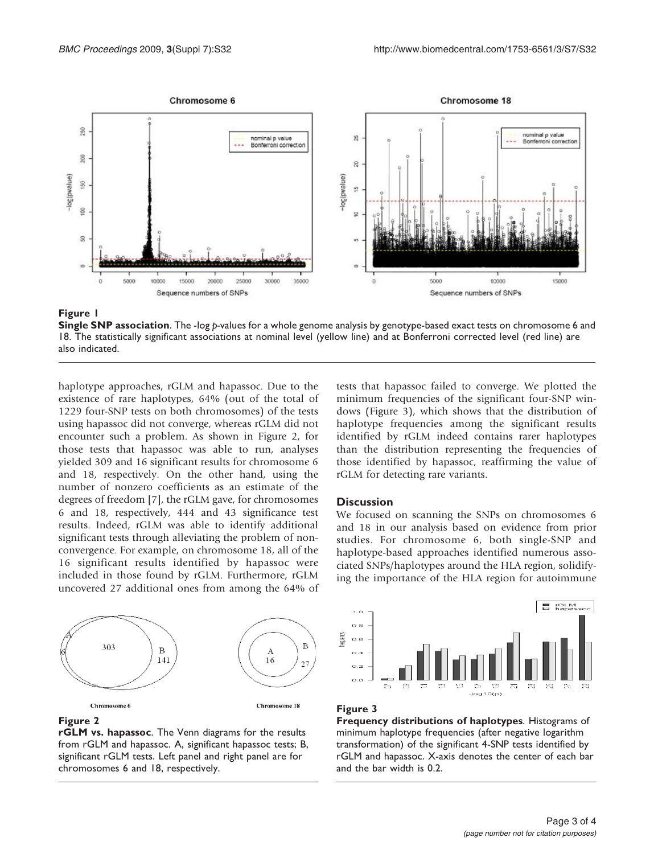<span id="page-2-0"></span>

#### Figure 1

Single SNP association. The -log p-values for a whole genome analysis by genotype-based exact tests on chromosome 6 and 18. The statistically significant associations at nominal level (yellow line) and at Bonferroni corrected level (red line) are also indicated.

haplotype approaches, rGLM and hapassoc. Due to the existence of rare haplotypes, 64% (out of the total of 1229 four-SNP tests on both chromosomes) of the tests using hapassoc did not converge, whereas rGLM did not encounter such a problem. As shown in Figure 2, for those tests that hapassoc was able to run, analyses yielded 309 and 16 significant results for chromosome 6 and 18, respectively. On the other hand, using the number of nonzero coefficients as an estimate of the degrees of freedom [[7](#page-3-0)], the rGLM gave, for chromosomes 6 and 18, respectively, 444 and 43 significance test results. Indeed, rGLM was able to identify additional significant tests through alleviating the problem of nonconvergence. For example, on chromosome 18, all of the 16 significant results identified by hapassoc were included in those found by rGLM. Furthermore, rGLM uncovered 27 additional ones from among the 64% of



#### **Discussion**

We focused on scanning the SNPs on chromosomes 6 and 18 in our analysis based on evidence from prior studies. For chromosome 6, both single-SNP and haplotype-based approaches identified numerous associated SNPs/haplotypes around the HLA region, solidifying the importance of the HLA region for autoimmune



#### Figure 2

rGLM vs. hapassoc. The Venn diagrams for the results from rGLM and hapassoc. A, significant hapassoc tests; B, significant rGLM tests. Left panel and right panel are for chromosomes 6 and 18, respectively.



#### Figure 3

Frequency distributions of haplotypes. Histograms of minimum haplotype frequencies (after negative logarithm transformation) of the significant 4-SNP tests identified by rGLM and hapassoc. X-axis denotes the center of each bar and the bar width is 0.2.